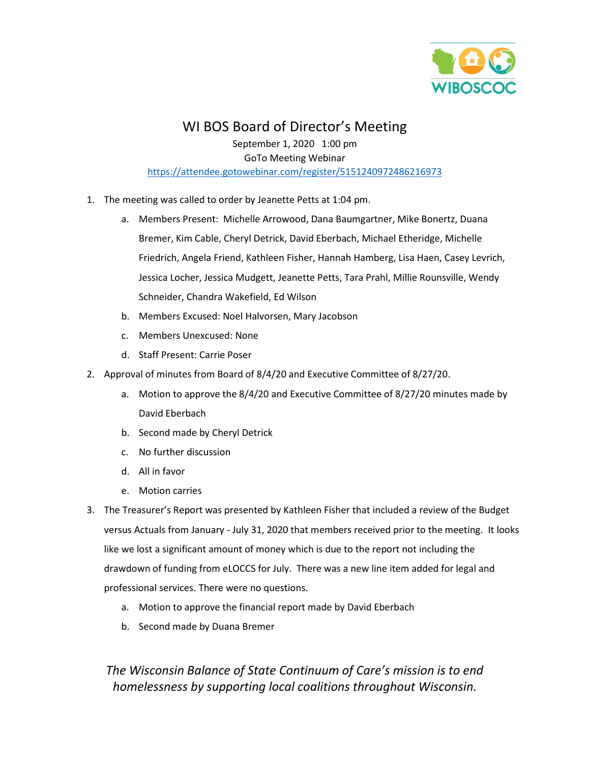

# WI BOS Board of Director's Meeting

September 1, 2020 1:00 pm GoTo Meeting Webinar <https://attendee.gotowebinar.com/register/5151240972486216973>

- 1. The meeting was called to order by Jeanette Petts at 1:04 pm.
	- a. Members Present: Michelle Arrowood, Dana Baumgartner, Mike Bonertz, Duana Bremer, Kim Cable, Cheryl Detrick, David Eberbach, Michael Etheridge, Michelle Friedrich, Angela Friend, Kathleen Fisher, Hannah Hamberg, Lisa Haen, Casey Levrich, Jessica Locher, Jessica Mudgett, Jeanette Petts, Tara Prahl, Millie Rounsville, Wendy Schneider, Chandra Wakefield, Ed Wilson
	- b. Members Excused: Noel Halvorsen, Mary Jacobson
	- c. Members Unexcused: None
	- d. Staff Present: Carrie Poser
- 2. Approval of minutes from Board of 8/4/20 and Executive Committee of 8/27/20.
	- a. Motion to approve the 8/4/20 and Executive Committee of 8/27/20 minutes made by David Eberbach
	- b. Second made by Cheryl Detrick
	- c. No further discussion
	- d. All in favor
	- e. Motion carries
- 3. The Treasurer's Report was presented by Kathleen Fisher that included a review of the Budget versus Actuals from January - July 31, 2020 that members received prior to the meeting. It looks like we lost a significant amount of money which is due to the report not including the drawdown of funding from eLOCCS for July. There was a new line item added for legal and professional services. There were no questions.
	- a. Motion to approve the financial report made by David Eberbach
	- b. Second made by Duana Bremer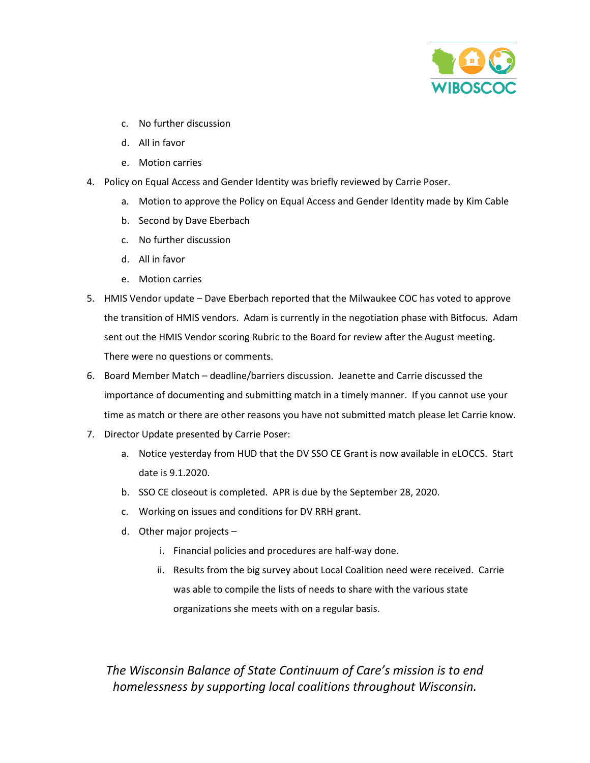

- c. No further discussion
- d. All in favor
- e. Motion carries
- 4. Policy on Equal Access and Gender Identity was briefly reviewed by Carrie Poser.
	- a. Motion to approve the Policy on Equal Access and Gender Identity made by Kim Cable
	- b. Second by Dave Eberbach
	- c. No further discussion
	- d. All in favor
	- e. Motion carries
- 5. HMIS Vendor update Dave Eberbach reported that the Milwaukee COC has voted to approve the transition of HMIS vendors. Adam is currently in the negotiation phase with Bitfocus. Adam sent out the HMIS Vendor scoring Rubric to the Board for review after the August meeting. There were no questions or comments.
- 6. Board Member Match deadline/barriers discussion. Jeanette and Carrie discussed the importance of documenting and submitting match in a timely manner. If you cannot use your time as match or there are other reasons you have not submitted match please let Carrie know.
- 7. Director Update presented by Carrie Poser:
	- a. Notice yesterday from HUD that the DV SSO CE Grant is now available in eLOCCS. Start date is 9.1.2020.
	- b. SSO CE closeout is completed. APR is due by the September 28, 2020.
	- c. Working on issues and conditions for DV RRH grant.
	- d. Other major projects
		- i. Financial policies and procedures are half-way done.
		- ii. Results from the big survey about Local Coalition need were received. Carrie was able to compile the lists of needs to share with the various state organizations she meets with on a regular basis.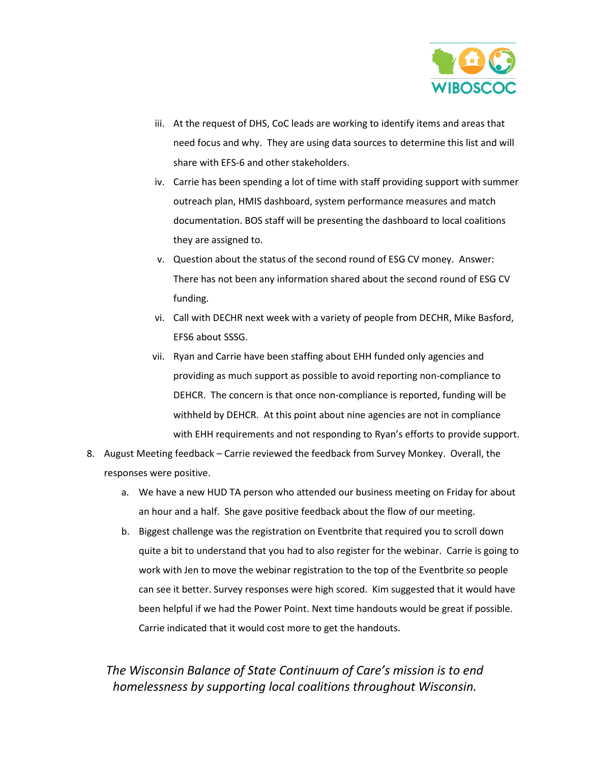

- iii. At the request of DHS, CoC leads are working to identify items and areas that need focus and why. They are using data sources to determine this list and will share with EFS-6 and other stakeholders.
- iv. Carrie has been spending a lot of time with staff providing support with summer outreach plan, HMIS dashboard, system performance measures and match documentation. BOS staff will be presenting the dashboard to local coalitions they are assigned to.
- v. Question about the status of the second round of ESG CV money. Answer: There has not been any information shared about the second round of ESG CV funding.
- vi. Call with DECHR next week with a variety of people from DECHR, Mike Basford, EFS6 about SSSG.
- vii. Ryan and Carrie have been staffing about EHH funded only agencies and providing as much support as possible to avoid reporting non-compliance to DEHCR. The concern is that once non-compliance is reported, funding will be withheld by DEHCR. At this point about nine agencies are not in compliance with EHH requirements and not responding to Ryan's efforts to provide support.
- 8. August Meeting feedback Carrie reviewed the feedback from Survey Monkey. Overall, the responses were positive.
	- a. We have a new HUD TA person who attended our business meeting on Friday for about an hour and a half. She gave positive feedback about the flow of our meeting.
	- b. Biggest challenge was the registration on Eventbrite that required you to scroll down quite a bit to understand that you had to also register for the webinar. Carrie is going to work with Jen to move the webinar registration to the top of the Eventbrite so people can see it better. Survey responses were high scored. Kim suggested that it would have been helpful if we had the Power Point. Next time handouts would be great if possible. Carrie indicated that it would cost more to get the handouts.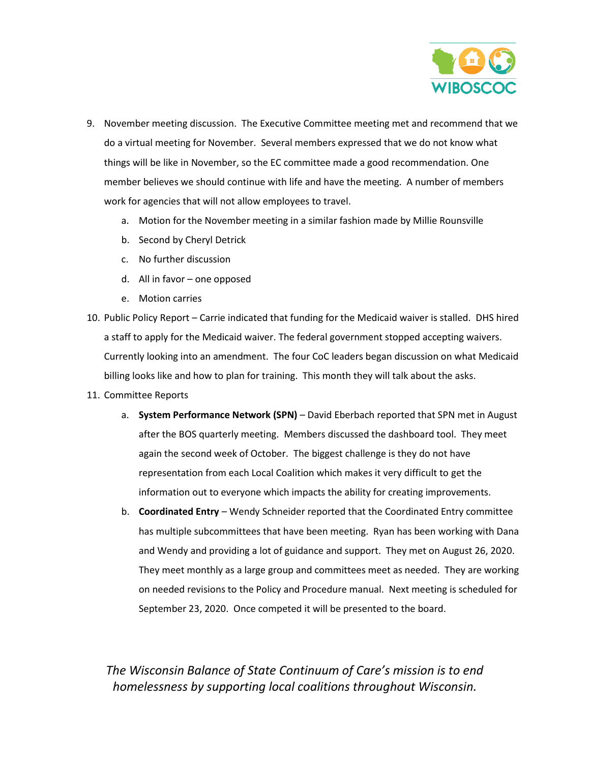

- 9. November meeting discussion.The Executive Committee meeting met and recommend that we do a virtual meeting for November. Several members expressed that we do not know what things will be like in November, so the EC committee made a good recommendation. One member believes we should continue with life and have the meeting. A number of members work for agencies that will not allow employees to travel.
	- a. Motion for the November meeting in a similar fashion made by Millie Rounsville
	- b. Second by Cheryl Detrick
	- c. No further discussion
	- d. All in favor one opposed
	- e. Motion carries
- 10. Public Policy Report Carrie indicated that funding for the Medicaid waiver is stalled. DHS hired a staff to apply for the Medicaid waiver. The federal government stopped accepting waivers. Currently looking into an amendment. The four CoC leaders began discussion on what Medicaid billing looks like and how to plan for training. This month they will talk about the asks.
- 11. Committee Reports
	- a. **System Performance Network (SPN)** David Eberbach reported that SPN met in August after the BOS quarterly meeting. Members discussed the dashboard tool. They meet again the second week of October. The biggest challenge is they do not have representation from each Local Coalition which makes it very difficult to get the information out to everyone which impacts the ability for creating improvements.
	- b. **Coordinated Entry** Wendy Schneider reported that the Coordinated Entry committee has multiple subcommittees that have been meeting. Ryan has been working with Dana and Wendy and providing a lot of guidance and support. They met on August 26, 2020. They meet monthly as a large group and committees meet as needed. They are working on needed revisions to the Policy and Procedure manual. Next meeting is scheduled for September 23, 2020. Once competed it will be presented to the board.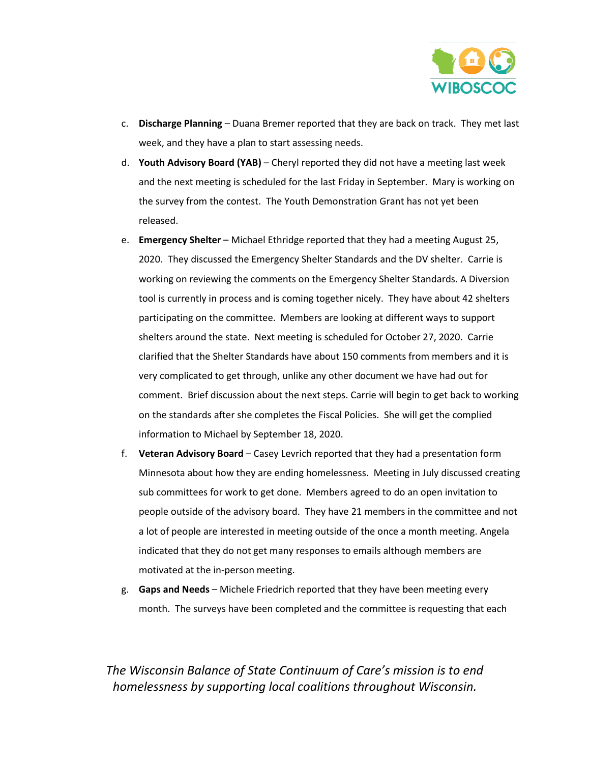

- c. **Discharge Planning** Duana Bremer reported that they are back on track. They met last week, and they have a plan to start assessing needs.
- d. **Youth Advisory Board (YAB)** Cheryl reported they did not have a meeting last week and the next meeting is scheduled for the last Friday in September. Mary is working on the survey from the contest. The Youth Demonstration Grant has not yet been released.
- e. **Emergency Shelter** Michael Ethridge reported that they had a meeting August 25, 2020. They discussed the Emergency Shelter Standards and the DV shelter. Carrie is working on reviewing the comments on the Emergency Shelter Standards. A Diversion tool is currently in process and is coming together nicely. They have about 42 shelters participating on the committee. Members are looking at different ways to support shelters around the state. Next meeting is scheduled for October 27, 2020. Carrie clarified that the Shelter Standards have about 150 comments from members and it is very complicated to get through, unlike any other document we have had out for comment. Brief discussion about the next steps. Carrie will begin to get back to working on the standards after she completes the Fiscal Policies. She will get the complied information to Michael by September 18, 2020.
- f. **Veteran Advisory Board** Casey Levrich reported that they had a presentation form Minnesota about how they are ending homelessness. Meeting in July discussed creating sub committees for work to get done. Members agreed to do an open invitation to people outside of the advisory board. They have 21 members in the committee and not a lot of people are interested in meeting outside of the once a month meeting. Angela indicated that they do not get many responses to emails although members are motivated at the in-person meeting.
- g. **Gaps and Needs** Michele Friedrich reported that they have been meeting every month. The surveys have been completed and the committee is requesting that each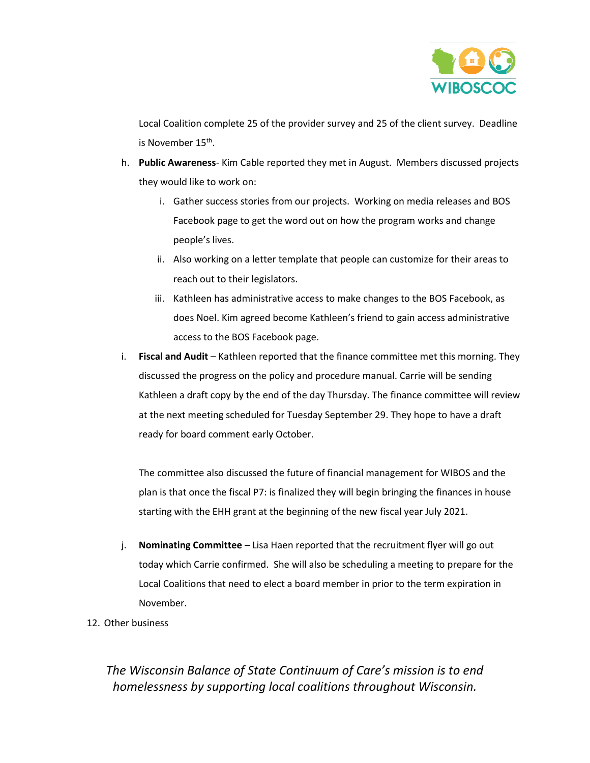

Local Coalition complete 25 of the provider survey and 25 of the client survey. Deadline is November 15<sup>th</sup>.

- h. **Public Awareness** Kim Cable reported they met in August. Members discussed projects they would like to work on:
	- i. Gather success stories from our projects. Working on media releases and BOS Facebook page to get the word out on how the program works and change people's lives.
	- ii. Also working on a letter template that people can customize for their areas to reach out to their legislators.
	- iii. Kathleen has administrative access to make changes to the BOS Facebook, as does Noel. Kim agreed become Kathleen's friend to gain access administrative access to the BOS Facebook page.
- i. **Fiscal and Audit** Kathleen reported that the finance committee met this morning. They discussed the progress on the policy and procedure manual. Carrie will be sending Kathleen a draft copy by the end of the day Thursday. The finance committee will review at the next meeting scheduled for Tuesday September 29. They hope to have a draft ready for board comment early October.

The committee also discussed the future of financial management for WIBOS and the plan is that once the fiscal P7: is finalized they will begin bringing the finances in house starting with the EHH grant at the beginning of the new fiscal year July 2021.

- j. **Nominating Committee** Lisa Haen reported that the recruitment flyer will go out today which Carrie confirmed. She will also be scheduling a meeting to prepare for the Local Coalitions that need to elect a board member in prior to the term expiration in November.
- 12. Other business